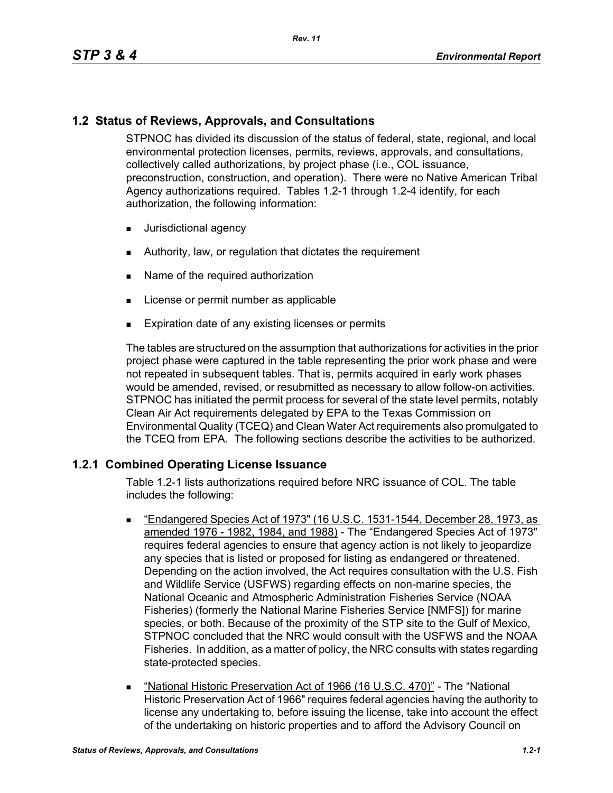# **1.2 Status of Reviews, Approvals, and Consultations**

STPNOC has divided its discussion of the status of federal, state, regional, and local environmental protection licenses, permits, reviews, approvals, and consultations, collectively called authorizations, by project phase (i.e., COL issuance, preconstruction, construction, and operation). There were no Native American Tribal Agency authorizations required. Tables 1.2-1 through 1.2-4 identify, for each authorization, the following information:

- **Jurisdictional agency**
- Authority, law, or regulation that dictates the requirement
- Name of the required authorization
- **License or permit number as applicable**
- **Expiration date of any existing licenses or permits**

The tables are structured on the assumption that authorizations for activities in the prior project phase were captured in the table representing the prior work phase and were not repeated in subsequent tables. That is, permits acquired in early work phases would be amended, revised, or resubmitted as necessary to allow follow-on activities. STPNOC has initiated the permit process for several of the state level permits, notably Clean Air Act requirements delegated by EPA to the Texas Commission on Environmental Quality (TCEQ) and Clean Water Act requirements also promulgated to the TCEQ from EPA. The following sections describe the activities to be authorized.

# **1.2.1 Combined Operating License Issuance**

Table 1.2-1 lists authorizations required before NRC issuance of COL. The table includes the following:

- "Endangered Species Act of 1973" (16 U.S.C. 1531-1544, December 28, 1973, as amended 1976 - 1982, 1984, and 1988) - The "Endangered Species Act of 1973" requires federal agencies to ensure that agency action is not likely to jeopardize any species that is listed or proposed for listing as endangered or threatened. Depending on the action involved, the Act requires consultation with the U.S. Fish and Wildlife Service (USFWS) regarding effects on non-marine species, the National Oceanic and Atmospheric Administration Fisheries Service (NOAA Fisheries) (formerly the National Marine Fisheries Service [NMFS]) for marine species, or both. Because of the proximity of the STP site to the Gulf of Mexico, STPNOC concluded that the NRC would consult with the USFWS and the NOAA Fisheries. In addition, as a matter of policy, the NRC consults with states regarding state-protected species.
- "National Historic Preservation Act of 1966 (16 U.S.C. 470)" The "National Historic Preservation Act of 1966" requires federal agencies having the authority to license any undertaking to, before issuing the license, take into account the effect of the undertaking on historic properties and to afford the Advisory Council on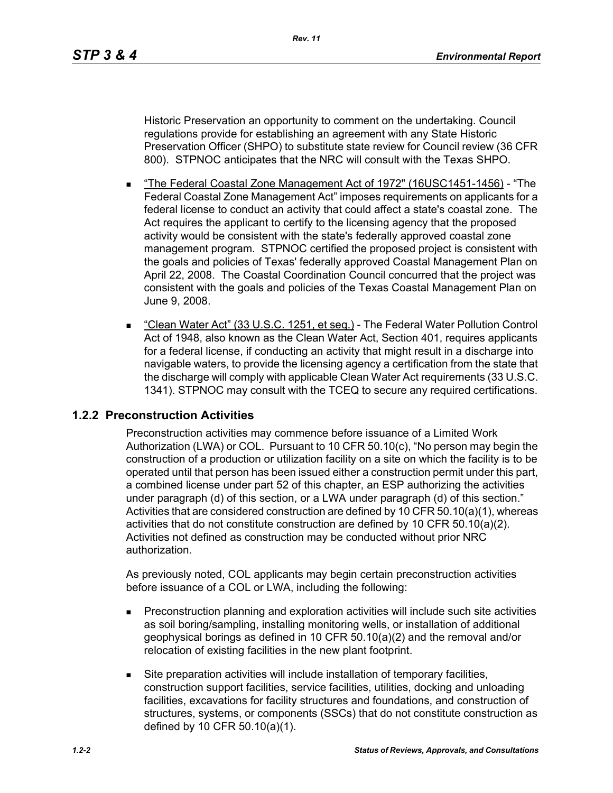Historic Preservation an opportunity to comment on the undertaking. Council regulations provide for establishing an agreement with any State Historic Preservation Officer (SHPO) to substitute state review for Council review (36 CFR 800). STPNOC anticipates that the NRC will consult with the Texas SHPO.

- The Federal Coastal Zone Management Act of 1972" (16USC1451-1456) "The Federal Coastal Zone Management Act" imposes requirements on applicants for a federal license to conduct an activity that could affect a state's coastal zone. The Act requires the applicant to certify to the licensing agency that the proposed activity would be consistent with the state's federally approved coastal zone management program. STPNOC certified the proposed project is consistent with the goals and policies of Texas' federally approved Coastal Management Plan on April 22, 2008. The Coastal Coordination Council concurred that the project was consistent with the goals and policies of the Texas Coastal Management Plan on June 9, 2008.
- "Clean Water Act" (33 U.S.C. 1251, et seg.) The Federal Water Pollution Control Act of 1948, also known as the Clean Water Act, Section 401, requires applicants for a federal license, if conducting an activity that might result in a discharge into navigable waters, to provide the licensing agency a certification from the state that the discharge will comply with applicable Clean Water Act requirements (33 U.S.C. 1341). STPNOC may consult with the TCEQ to secure any required certifications.

### **1.2.2 Preconstruction Activities**

Preconstruction activities may commence before issuance of a Limited Work Authorization (LWA) or COL. Pursuant to 10 CFR 50.10(c), "No person may begin the construction of a production or utilization facility on a site on which the facility is to be operated until that person has been issued either a construction permit under this part, a combined license under part 52 of this chapter, an ESP authorizing the activities under paragraph (d) of this section, or a LWA under paragraph (d) of this section." Activities that are considered construction are defined by 10 CFR 50.10(a)(1), whereas activities that do not constitute construction are defined by 10 CFR 50.10(a)(2). Activities not defined as construction may be conducted without prior NRC authorization.

As previously noted, COL applicants may begin certain preconstruction activities before issuance of a COL or LWA, including the following:

- **Preconstruction planning and exploration activities will include such site activities** as soil boring/sampling, installing monitoring wells, or installation of additional geophysical borings as defined in 10 CFR 50.10(a)(2) and the removal and/or relocation of existing facilities in the new plant footprint.
- Site preparation activities will include installation of temporary facilities, construction support facilities, service facilities, utilities, docking and unloading facilities, excavations for facility structures and foundations, and construction of structures, systems, or components (SSCs) that do not constitute construction as defined by 10 CFR 50.10(a)(1).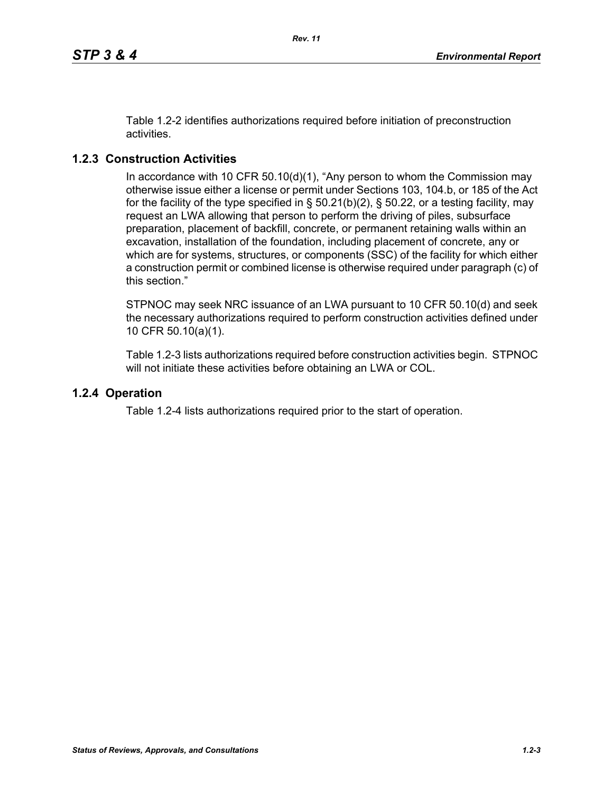Table 1.2-2 identifies authorizations required before initiation of preconstruction activities.

# **1.2.3 Construction Activities**

In accordance with 10 CFR 50.10(d)(1), "Any person to whom the Commission may otherwise issue either a license or permit under Sections 103, 104.b, or 185 of the Act for the facility of the type specified in  $\S$  50.21(b)(2),  $\S$  50.22, or a testing facility, may request an LWA allowing that person to perform the driving of piles, subsurface preparation, placement of backfill, concrete, or permanent retaining walls within an excavation, installation of the foundation, including placement of concrete, any or which are for systems, structures, or components (SSC) of the facility for which either a construction permit or combined license is otherwise required under paragraph (c) of this section."

STPNOC may seek NRC issuance of an LWA pursuant to 10 CFR 50.10(d) and seek the necessary authorizations required to perform construction activities defined under 10 CFR 50.10(a)(1).

Table 1.2-3 lists authorizations required before construction activities begin. STPNOC will not initiate these activities before obtaining an LWA or COL.

## **1.2.4 Operation**

Table 1.2-4 lists authorizations required prior to the start of operation.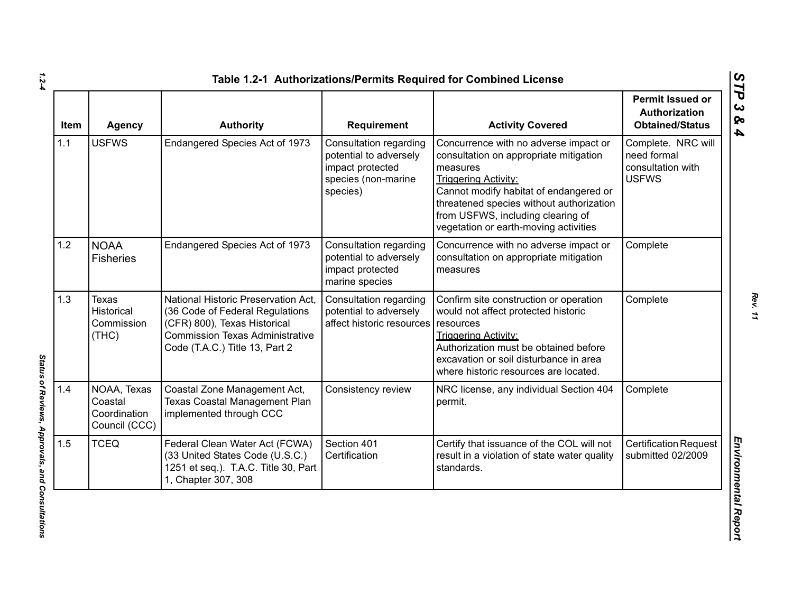| Item | <b>Agency</b>                                           | <b>Authority</b>                                                                                                                                                                   | <b>Requirement</b>                                                                                      | <b>Activity Covered</b>                                                                                                                                                                                                                                                                        | <b>Permit Issued or</b><br>Authorization<br><b>Obtained/Status</b>     |
|------|---------------------------------------------------------|------------------------------------------------------------------------------------------------------------------------------------------------------------------------------------|---------------------------------------------------------------------------------------------------------|------------------------------------------------------------------------------------------------------------------------------------------------------------------------------------------------------------------------------------------------------------------------------------------------|------------------------------------------------------------------------|
| 1.1  | <b>USFWS</b>                                            | Endangered Species Act of 1973                                                                                                                                                     | Consultation regarding<br>potential to adversely<br>impact protected<br>species (non-marine<br>species) | Concurrence with no adverse impact or<br>consultation on appropriate mitigation<br>measures<br><b>Triggering Activity:</b><br>Cannot modify habitat of endangered or<br>threatened species without authorization<br>from USFWS, including clearing of<br>vegetation or earth-moving activities | Complete. NRC will<br>need formal<br>consultation with<br><b>USFWS</b> |
| 1.2  | <b>NOAA</b><br><b>Fisheries</b>                         | Endangered Species Act of 1973                                                                                                                                                     | Consultation regarding<br>potential to adversely<br>impact protected<br>marine species                  | Concurrence with no adverse impact or<br>consultation on appropriate mitigation<br>measures                                                                                                                                                                                                    | Complete                                                               |
| 1.3  | <b>Texas</b><br>Historical<br>Commission<br>(THE)       | National Historic Preservation Act.<br>(36 Code of Federal Regulations<br>(CFR) 800), Texas Historical<br><b>Commission Texas Administrative</b><br>Code (T.A.C.) Title 13, Part 2 | Consultation regarding<br>potential to adversely<br>affect historic resources                           | Confirm site construction or operation<br>would not affect protected historic<br>resources<br><b>Triggering Activity:</b><br>Authorization must be obtained before<br>excavation or soil disturbance in area<br>where historic resources are located.                                          | Complete                                                               |
| 1.4  | NOAA, Texas<br>Coastal<br>Coordination<br>Council (CCC) | Coastal Zone Management Act,<br>Texas Coastal Management Plan<br>implemented through CCC                                                                                           | Consistency review                                                                                      | NRC license, any individual Section 404<br>permit.                                                                                                                                                                                                                                             | Complete                                                               |
| 1.5  | <b>TCEQ</b>                                             | Federal Clean Water Act (FCWA)<br>(33 United States Code (U.S.C.)<br>1251 et seq.). T.A.C. Title 30, Part<br>1, Chapter 307, 308                                                   | Section 401<br>Certification                                                                            | Certify that issuance of the COL will not<br>result in a violation of state water quality<br>standards.                                                                                                                                                                                        | <b>Certification Request</b><br>submitted 02/2009                      |

*1.2-4*

Status of Reviews, Approvals, and Consultations *Status of Reviews, Approvals, and Consultations*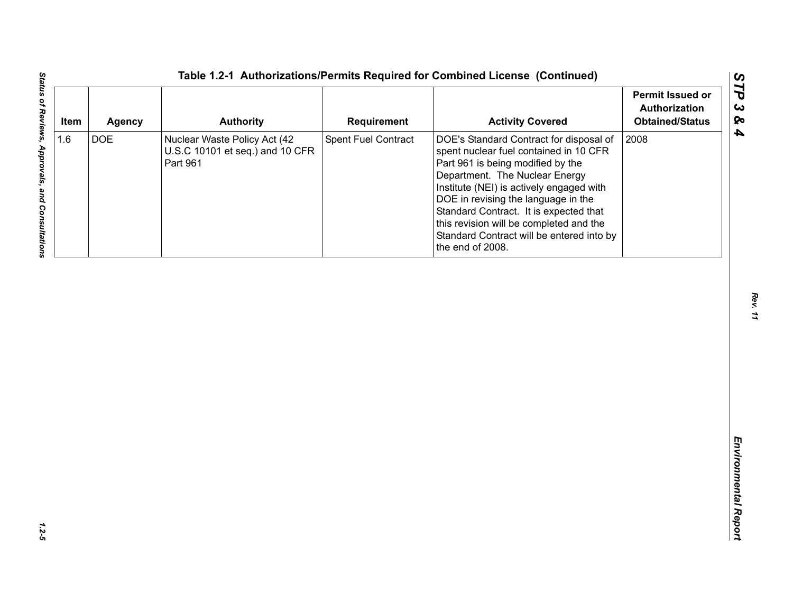| <b>DOE</b><br>Spent Fuel Contract<br>2008<br>Nuclear Waste Policy Act (42<br>DOE's Standard Contract for disposal of<br>U.S.C 10101 et seq.) and 10 CFR<br>spent nuclear fuel contained in 10 CFR<br>Part 961<br>Part 961 is being modified by the<br>Department. The Nuclear Energy<br>Institute (NEI) is actively engaged with | 1.6<br>DOE in revising the language in the |
|----------------------------------------------------------------------------------------------------------------------------------------------------------------------------------------------------------------------------------------------------------------------------------------------------------------------------------|--------------------------------------------|
| Standard Contract. It is expected that<br>this revision will be completed and the<br>Standard Contract will be entered into by<br>the end of 2008.                                                                                                                                                                               |                                            |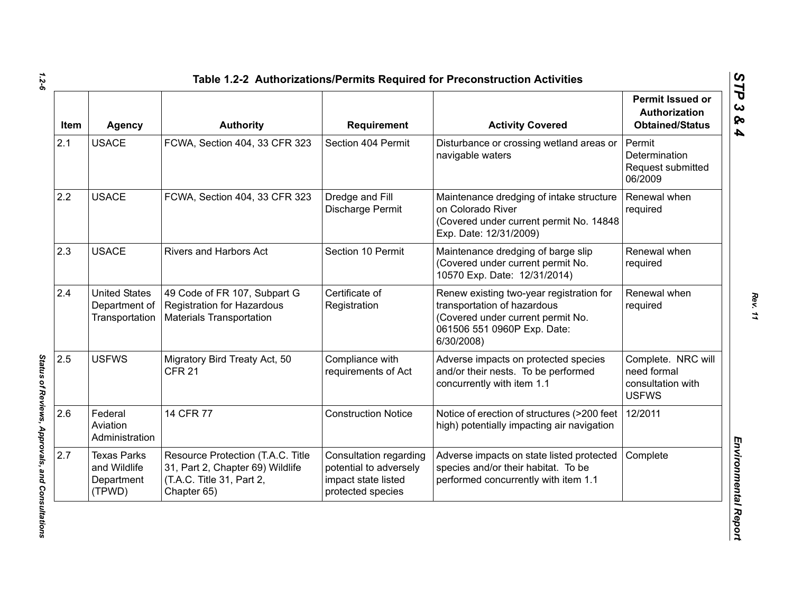| Item | <b>Agency</b>                                              | <b>Authority</b>                                                                                                  | Requirement                                                                                  | <b>Activity Covered</b>                                                                                                                                   | <b>Permit Issued or</b><br><b>Authorization</b><br><b>Obtained/Status</b> |
|------|------------------------------------------------------------|-------------------------------------------------------------------------------------------------------------------|----------------------------------------------------------------------------------------------|-----------------------------------------------------------------------------------------------------------------------------------------------------------|---------------------------------------------------------------------------|
| 2.1  | <b>USACE</b>                                               | FCWA, Section 404, 33 CFR 323                                                                                     | Section 404 Permit                                                                           | Disturbance or crossing wetland areas or<br>navigable waters                                                                                              | Permit<br><b>Determination</b><br>Request submitted<br>06/2009            |
| 2.2  | <b>USACE</b>                                               | FCWA, Section 404, 33 CFR 323                                                                                     | Dredge and Fill<br>Discharge Permit                                                          | Maintenance dredging of intake structure<br>on Colorado River<br>(Covered under current permit No. 14848<br>Exp. Date: 12/31/2009)                        | Renewal when<br>required                                                  |
| 2.3  | <b>USACE</b>                                               | <b>Rivers and Harbors Act</b>                                                                                     | Section 10 Permit                                                                            | Maintenance dredging of barge slip<br>(Covered under current permit No.<br>10570 Exp. Date: 12/31/2014)                                                   | Renewal when<br>required                                                  |
| 2.4  | <b>United States</b><br>Department of<br>Transportation    | 49 Code of FR 107, Subpart G<br><b>Registration for Hazardous</b><br><b>Materials Transportation</b>              | Certificate of<br>Registration                                                               | Renew existing two-year registration for<br>transportation of hazardous<br>(Covered under current permit No.<br>061506 551 0960P Exp. Date:<br>6/30/2008) | Renewal when<br>required                                                  |
| 2.5  | <b>USFWS</b>                                               | Migratory Bird Treaty Act, 50<br><b>CFR 21</b>                                                                    | Compliance with<br>requirements of Act                                                       | Adverse impacts on protected species<br>and/or their nests. To be performed<br>concurrently with item 1.1                                                 | Complete. NRC will<br>need formal<br>consultation with<br><b>USFWS</b>    |
| 2.6  | Federal<br>Aviation<br>Administration                      | 14 CFR 77                                                                                                         | <b>Construction Notice</b>                                                                   | Notice of erection of structures (>200 feet<br>high) potentially impacting air navigation                                                                 | 12/2011                                                                   |
| 2.7  | <b>Texas Parks</b><br>and Wildlife<br>Department<br>(TPWD) | Resource Protection (T.A.C. Title<br>31, Part 2, Chapter 69) Wildlife<br>(T.A.C. Title 31, Part 2,<br>Chapter 65) | Consultation regarding<br>potential to adversely<br>impact state listed<br>protected species | Adverse impacts on state listed protected<br>species and/or their habitat. To be<br>performed concurrently with item 1.1                                  | Complete                                                                  |

*1.2-6*

Status of Reviews, Approvals, and Consultations *Status of Reviews, Approvals, and Consultations* 

*Rev. 11*

*STP 3 & 4*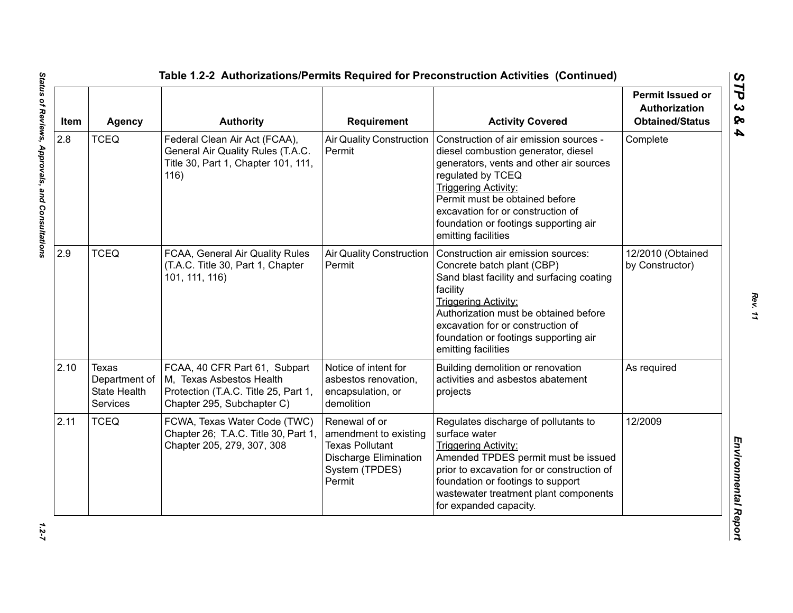| Item | <b>Agency</b>                                                    | <b>Authority</b>                                                                                                                | <b>Requirement</b>                                                                                                           | <b>Activity Covered</b>                                                                                                                                                                                                                                                                                             | <b>Permit Issued or</b><br><b>Authorization</b><br><b>Obtained/Status</b> |
|------|------------------------------------------------------------------|---------------------------------------------------------------------------------------------------------------------------------|------------------------------------------------------------------------------------------------------------------------------|---------------------------------------------------------------------------------------------------------------------------------------------------------------------------------------------------------------------------------------------------------------------------------------------------------------------|---------------------------------------------------------------------------|
| 2.8  | <b>TCEQ</b>                                                      | Federal Clean Air Act (FCAA),<br>General Air Quality Rules (T.A.C.<br>Title 30, Part 1, Chapter 101, 111,<br>116)               | <b>Air Quality Construction</b><br>Permit                                                                                    | Construction of air emission sources -<br>diesel combustion generator, diesel<br>generators, vents and other air sources<br>regulated by TCEQ<br><b>Triggering Activity:</b><br>Permit must be obtained before<br>excavation for or construction of<br>foundation or footings supporting air<br>emitting facilities | Complete                                                                  |
| 2.9  | <b>TCEQ</b>                                                      | FCAA, General Air Quality Rules<br>(T.A.C. Title 30, Part 1, Chapter<br>101, 111, 116)                                          | <b>Air Quality Construction</b><br>Permit                                                                                    | Construction air emission sources:<br>Concrete batch plant (CBP)<br>Sand blast facility and surfacing coating<br>facility<br><b>Triggering Activity:</b><br>Authorization must be obtained before<br>excavation for or construction of<br>foundation or footings supporting air<br>emitting facilities              | 12/2010 (Obtained<br>by Constructor)                                      |
| 2.10 | Texas<br>Department of<br><b>State Health</b><br><b>Services</b> | FCAA, 40 CFR Part 61, Subpart<br>M, Texas Asbestos Health<br>Protection (T.A.C. Title 25, Part 1,<br>Chapter 295, Subchapter C) | Notice of intent for<br>asbestos renovation,<br>encapsulation, or<br>demolition                                              | Building demolition or renovation<br>activities and asbestos abatement<br>projects                                                                                                                                                                                                                                  | As required                                                               |
| 2.11 | <b>TCEQ</b>                                                      | FCWA, Texas Water Code (TWC)<br>Chapter 26; T.A.C. Title 30, Part 1,<br>Chapter 205, 279, 307, 308                              | Renewal of or<br>amendment to existing<br><b>Texas Pollutant</b><br><b>Discharge Elimination</b><br>System (TPDES)<br>Permit | Regulates discharge of pollutants to<br>surface water<br><b>Triggering Activity:</b><br>Amended TPDES permit must be issued<br>prior to excavation for or construction of<br>foundation or footings to support<br>wastewater treatment plant components<br>for expanded capacity.                                   | 12/2009                                                                   |

 $1.2 - 7$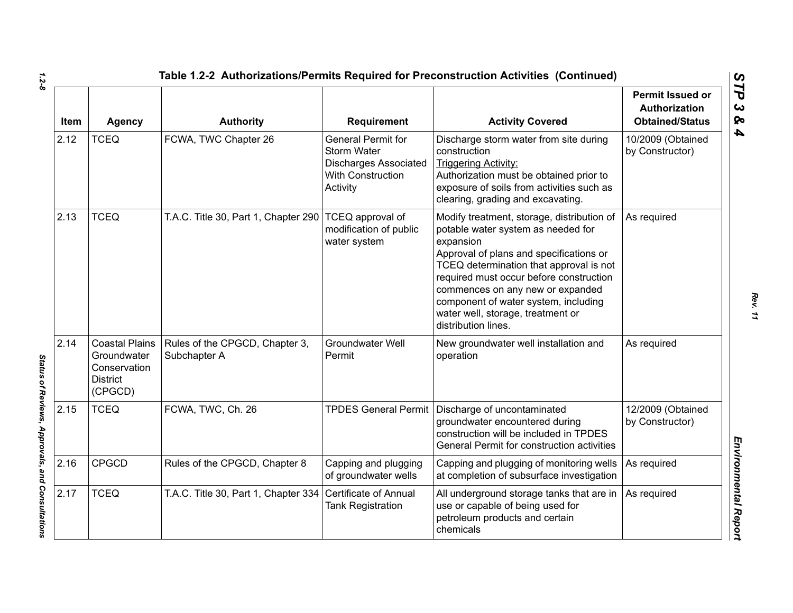| Item | <b>Agency</b>                                                                      | <b>Authority</b>                               | Requirement                                                                                                      | <b>Activity Covered</b>                                                                                                                                                                                                                                                                                                                                                | <b>Permit Issued or</b><br>Authorization<br><b>Obtained/Status</b> |
|------|------------------------------------------------------------------------------------|------------------------------------------------|------------------------------------------------------------------------------------------------------------------|------------------------------------------------------------------------------------------------------------------------------------------------------------------------------------------------------------------------------------------------------------------------------------------------------------------------------------------------------------------------|--------------------------------------------------------------------|
| 2.12 | <b>TCEQ</b>                                                                        | FCWA, TWC Chapter 26                           | General Permit for<br><b>Storm Water</b><br><b>Discharges Associated</b><br><b>With Construction</b><br>Activity | Discharge storm water from site during<br>construction<br><b>Triggering Activity:</b><br>Authorization must be obtained prior to<br>exposure of soils from activities such as<br>clearing, grading and excavating.                                                                                                                                                     | 10/2009 (Obtained<br>by Constructor)                               |
| 2.13 | <b>TCEQ</b>                                                                        | T.A.C. Title 30, Part 1, Chapter 290           | TCEQ approval of<br>modification of public<br>water system                                                       | Modify treatment, storage, distribution of<br>potable water system as needed for<br>expansion<br>Approval of plans and specifications or<br>TCEQ determination that approval is not<br>required must occur before construction<br>commences on any new or expanded<br>component of water system, including<br>water well, storage, treatment or<br>distribution lines. | As required                                                        |
| 2.14 | <b>Coastal Plains</b><br>Groundwater<br>Conservation<br><b>District</b><br>(CPGCD) | Rules of the CPGCD, Chapter 3,<br>Subchapter A | <b>Groundwater Well</b><br>Permit                                                                                | New groundwater well installation and<br>operation                                                                                                                                                                                                                                                                                                                     | As required                                                        |
| 2.15 | <b>TCEQ</b>                                                                        | FCWA, TWC, Ch. 26                              |                                                                                                                  | TPDES General Permit   Discharge of uncontaminated<br>groundwater encountered during<br>construction will be included in TPDES<br>General Permit for construction activities                                                                                                                                                                                           | 12/2009 (Obtained<br>by Constructor)                               |
| 2.16 | <b>CPGCD</b>                                                                       | Rules of the CPGCD, Chapter 8                  | Capping and plugging<br>of groundwater wells                                                                     | Capping and plugging of monitoring wells<br>at completion of subsurface investigation                                                                                                                                                                                                                                                                                  | As required                                                        |
| 2.17 | <b>TCEQ</b>                                                                        | T.A.C. Title 30, Part 1, Chapter 334           | Certificate of Annual<br><b>Tank Registration</b>                                                                | All underground storage tanks that are in<br>use or capable of being used for<br>petroleum products and certain<br>chemicals                                                                                                                                                                                                                                           | As required                                                        |

Status of Reviews, Approvals, and Consultations *Status of Reviews, Approvals, and Consultations*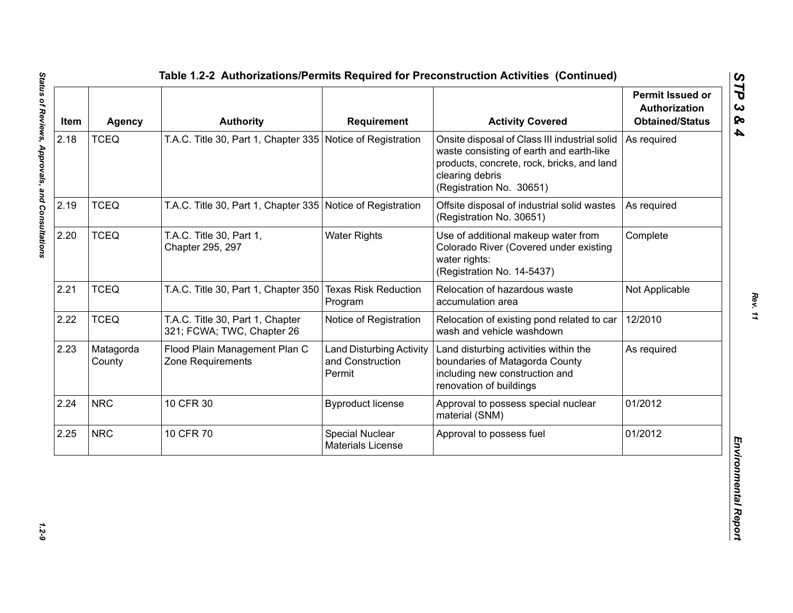| Item | <b>Agency</b>       | <b>Authority</b>                                               | <b>Requirement</b>                                            | <b>Activity Covered</b>                                                                                                                                                                | <b>Permit Issued or</b><br><b>Authorization</b><br><b>Obtained/Status</b> |
|------|---------------------|----------------------------------------------------------------|---------------------------------------------------------------|----------------------------------------------------------------------------------------------------------------------------------------------------------------------------------------|---------------------------------------------------------------------------|
| 2.18 | <b>TCEQ</b>         | T.A.C. Title 30, Part 1, Chapter 335 Notice of Registration    |                                                               | Onsite disposal of Class III industrial solid<br>waste consisting of earth and earth-like<br>products, concrete, rock, bricks, and land<br>clearing debris<br>(Registration No. 30651) | As required                                                               |
| 2.19 | <b>TCEQ</b>         | T.A.C. Title 30, Part 1, Chapter 335 Notice of Registration    |                                                               | Offsite disposal of industrial solid wastes<br>(Registration No. 30651)                                                                                                                | As required                                                               |
| 2.20 | <b>TCEQ</b>         | T.A.C. Title 30, Part 1,<br>Chapter 295, 297                   | <b>Water Rights</b>                                           | Use of additional makeup water from<br>Colorado River (Covered under existing<br>water rights:<br>(Registration No. 14-5437)                                                           | Complete                                                                  |
| 2.21 | <b>TCEQ</b>         | T.A.C. Title 30, Part 1, Chapter 350                           | <b>Texas Risk Reduction</b><br>Program                        | Relocation of hazardous waste<br>accumulation area                                                                                                                                     | Not Applicable                                                            |
| 2.22 | <b>TCEQ</b>         | T.A.C. Title 30, Part 1, Chapter<br>321; FCWA; TWC, Chapter 26 | Notice of Registration                                        | Relocation of existing pond related to car<br>wash and vehicle washdown                                                                                                                | 12/2010                                                                   |
| 2.23 | Matagorda<br>County | Flood Plain Management Plan C<br>Zone Requirements             | <b>Land Disturbing Activity</b><br>and Construction<br>Permit | Land disturbing activities within the<br>boundaries of Matagorda County<br>including new construction and<br>renovation of buildings                                                   | As required                                                               |
| 2.24 | <b>NRC</b>          | 10 CFR 30                                                      | <b>Byproduct license</b>                                      | Approval to possess special nuclear<br>material (SNM)                                                                                                                                  | 01/2012                                                                   |
| 2.25 | <b>NRC</b>          | 10 CFR 70                                                      | Special Nuclear<br><b>Materials License</b>                   | Approval to possess fuel                                                                                                                                                               | 01/2012                                                                   |

 $1.2 - 9$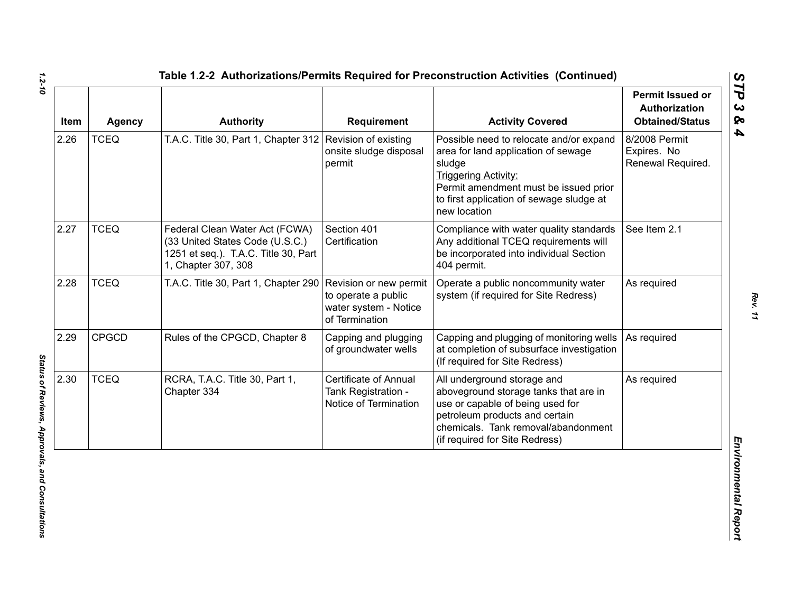| Item | <b>Agency</b> | <b>Authority</b>                                                                                                                 | <b>Requirement</b>                                                                       | <b>Activity Covered</b>                                                                                                                                                                                                      | <b>Permit Issued or</b><br><b>Authorization</b><br><b>Obtained/Status</b> |
|------|---------------|----------------------------------------------------------------------------------------------------------------------------------|------------------------------------------------------------------------------------------|------------------------------------------------------------------------------------------------------------------------------------------------------------------------------------------------------------------------------|---------------------------------------------------------------------------|
| 2.26 | <b>TCEQ</b>   | T.A.C. Title 30, Part 1, Chapter 312 Revision of existing                                                                        | onsite sludge disposal<br>permit                                                         | Possible need to relocate and/or expand<br>area for land application of sewage<br>sludge<br><b>Triggering Activity:</b><br>Permit amendment must be issued prior<br>to first application of sewage sludge at<br>new location | 8/2008 Permit<br>Expires. No<br>Renewal Required.                         |
| 2.27 | <b>TCEQ</b>   | Federal Clean Water Act (FCWA)<br>(33 United States Code (U.S.C.)<br>1251 et seq.). T.A.C. Title 30, Part<br>1, Chapter 307, 308 | Section 401<br>Certification                                                             | Compliance with water quality standards<br>Any additional TCEQ requirements will<br>be incorporated into individual Section<br>404 permit.                                                                                   | See Item 2.1                                                              |
| 2.28 | <b>TCEQ</b>   | T.A.C. Title 30, Part 1, Chapter 290                                                                                             | Revision or new permit<br>to operate a public<br>water system - Notice<br>of Termination | Operate a public noncommunity water<br>system (if required for Site Redress)                                                                                                                                                 | As required                                                               |
| 2.29 | <b>CPGCD</b>  | Rules of the CPGCD, Chapter 8                                                                                                    | Capping and plugging<br>of groundwater wells                                             | Capping and plugging of monitoring wells<br>at completion of subsurface investigation<br>(If required for Site Redress)                                                                                                      | As required                                                               |
| 2.30 | <b>TCEQ</b>   | RCRA, T.A.C. Title 30, Part 1,<br>Chapter 334                                                                                    | <b>Certificate of Annual</b><br>Tank Registration -<br>Notice of Termination             | All underground storage and<br>aboveground storage tanks that are in<br>use or capable of being used for<br>petroleum products and certain<br>chemicals. Tank removal/abandonment<br>(if required for Site Redress)          | As required                                                               |

*1.2-10*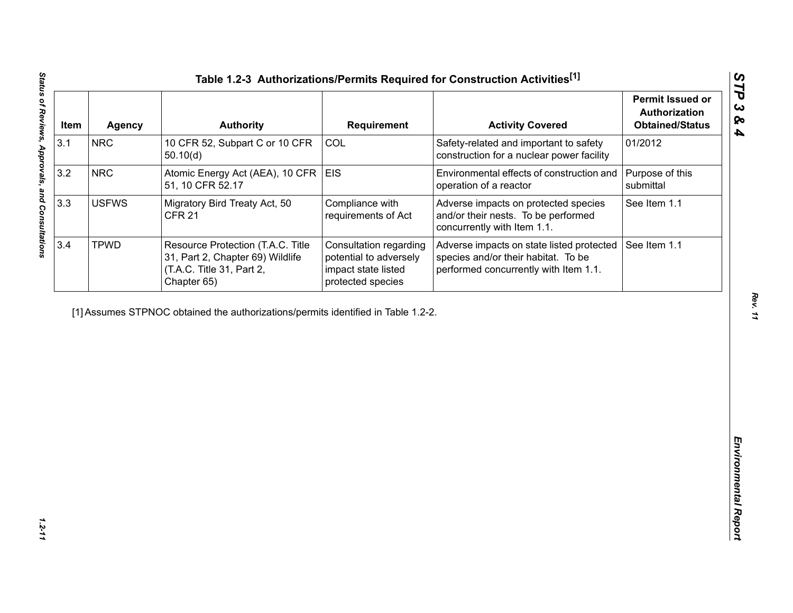| Item | <b>Agency</b>                                                                     | <b>Authority</b>                                                                                                  | <b>Requirement</b>                                                                           | <b>Activity Covered</b>                                                                                                   | <b>Permit Issued or</b><br>Authorization<br><b>Obtained/Status</b> |
|------|-----------------------------------------------------------------------------------|-------------------------------------------------------------------------------------------------------------------|----------------------------------------------------------------------------------------------|---------------------------------------------------------------------------------------------------------------------------|--------------------------------------------------------------------|
| 3.1  | <b>NRC</b>                                                                        | 10 CFR 52, Subpart C or 10 CFR<br>50.10(d)                                                                        | COL                                                                                          | Safety-related and important to safety<br>construction for a nuclear power facility                                       | 01/2012                                                            |
| 3.2  | <b>NRC</b>                                                                        | Atomic Energy Act (AEA), 10 CFR<br>51, 10 CFR 52.17                                                               | <b>EIS</b>                                                                                   | Environmental effects of construction and<br>operation of a reactor                                                       | Purpose of this<br>submittal                                       |
| 3.3  | <b>USFWS</b>                                                                      | Migratory Bird Treaty Act, 50<br><b>CFR 21</b>                                                                    | Compliance with<br>requirements of Act                                                       | Adverse impacts on protected species<br>and/or their nests. To be performed<br>concurrently with Item 1.1.                | See Item 1.1                                                       |
| 3.4  | <b>TPWD</b>                                                                       | Resource Protection (T.A.C. Title<br>31, Part 2, Chapter 69) Wildlife<br>(T.A.C. Title 31, Part 2,<br>Chapter 65) | Consultation regarding<br>potential to adversely<br>impact state listed<br>protected species | Adverse impacts on state listed protected<br>species and/or their habitat. To be<br>performed concurrently with Item 1.1. | See Item 1.1                                                       |
|      | [1] Assumes STPNOC obtained the authorizations/permits identified in Table 1.2-2. |                                                                                                                   |                                                                                              |                                                                                                                           |                                                                    |
|      |                                                                                   |                                                                                                                   |                                                                                              |                                                                                                                           |                                                                    |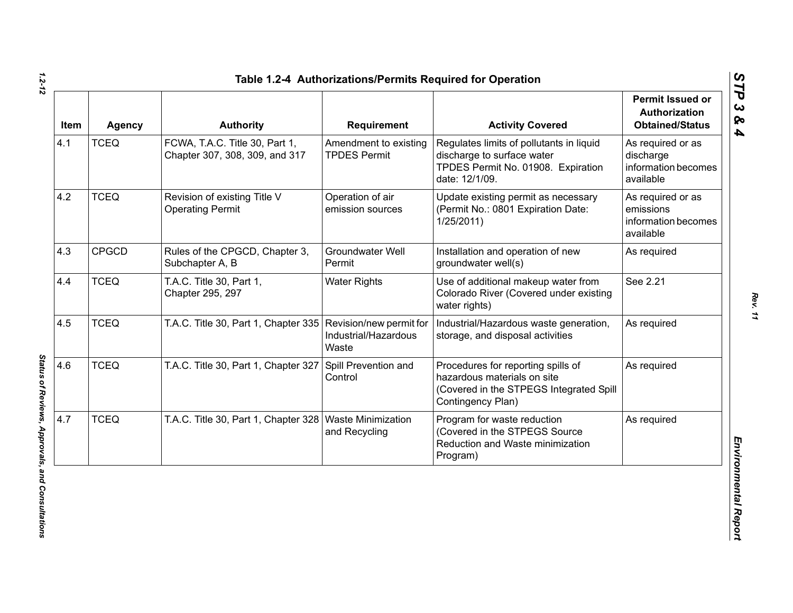| Item | <b>Agency</b> | <b>Authority</b>                                                 | Requirement                                  | <b>Activity Covered</b>                                                                                                           | Permit Issued or<br>Authorization<br><b>Obtained/Status</b>        |
|------|---------------|------------------------------------------------------------------|----------------------------------------------|-----------------------------------------------------------------------------------------------------------------------------------|--------------------------------------------------------------------|
| 4.1  | <b>TCEQ</b>   | FCWA, T.A.C. Title 30, Part 1,<br>Chapter 307, 308, 309, and 317 | Amendment to existing<br><b>TPDES Permit</b> | Regulates limits of pollutants in liquid<br>discharge to surface water<br>TPDES Permit No. 01908. Expiration<br>date: 12/1/09.    | As required or as<br>discharge<br>information becomes<br>available |
| 4.2  | <b>TCEQ</b>   | Revision of existing Title V<br><b>Operating Permit</b>          | Operation of air<br>emission sources         | Update existing permit as necessary<br>(Permit No.: 0801 Expiration Date:<br>1/25/2011                                            | As required or as<br>emissions<br>information becomes<br>available |
| 4.3  | <b>CPGCD</b>  | Rules of the CPGCD, Chapter 3,<br>Subchapter A, B                | <b>Groundwater Well</b><br>Permit            | Installation and operation of new<br>groundwater well(s)                                                                          | As required                                                        |
| 4.4  | <b>TCEQ</b>   | T.A.C. Title 30, Part 1,<br>Chapter 295, 297                     | <b>Water Rights</b>                          | Use of additional makeup water from<br>Colorado River (Covered under existing<br>water rights)                                    | See 2.21                                                           |
| 4.5  | <b>TCEQ</b>   | T.A.C. Title 30, Part 1, Chapter 335 Revision/new permit for     | Industrial/Hazardous<br>Waste                | Industrial/Hazardous waste generation,<br>storage, and disposal activities                                                        | As required                                                        |
| 4.6  | <b>TCEQ</b>   | T.A.C. Title 30, Part 1, Chapter 327                             | Spill Prevention and<br>Control              | Procedures for reporting spills of<br>hazardous materials on site<br>(Covered in the STPEGS Integrated Spill<br>Contingency Plan) | As required                                                        |
| 4.7  | <b>TCEQ</b>   | T.A.C. Title 30, Part 1, Chapter 328   Waste Minimization        | and Recycling                                | Program for waste reduction<br>(Covered in the STPEGS Source<br>Reduction and Waste minimization<br>Program)                      | As required                                                        |

*STP 3 & 4*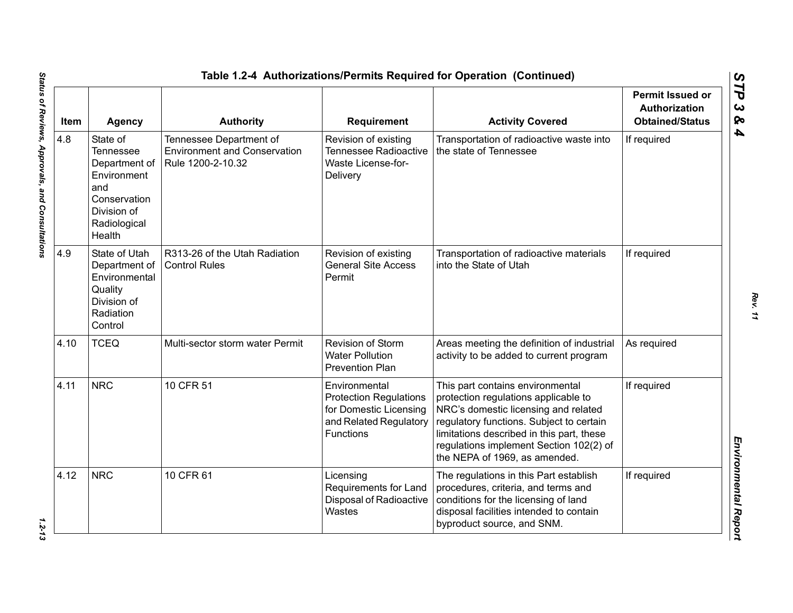| Item | <b>Agency</b>                                                                                                                | <b>Authority</b>                                                                    | <b>Requirement</b>                                                                                                     | <b>Activity Covered</b>                                                                                                                                                                                                                                                               | <b>Permit Issued or</b><br><b>Authorization</b><br><b>Obtained/Status</b> |
|------|------------------------------------------------------------------------------------------------------------------------------|-------------------------------------------------------------------------------------|------------------------------------------------------------------------------------------------------------------------|---------------------------------------------------------------------------------------------------------------------------------------------------------------------------------------------------------------------------------------------------------------------------------------|---------------------------------------------------------------------------|
| 4.8  | State of<br><b>Tennessee</b><br>Department of<br>Environment<br>and<br>Conservation<br>Division of<br>Radiological<br>Health | Tennessee Department of<br><b>Environment and Conservation</b><br>Rule 1200-2-10.32 | Revision of existing<br><b>Tennessee Radioactive</b><br>Waste License-for-<br>Delivery                                 | Transportation of radioactive waste into<br>the state of Tennessee                                                                                                                                                                                                                    | If required                                                               |
| 4.9  | State of Utah<br>Department of<br>Environmental<br>Quality<br>Division of<br>Radiation<br>Control                            | R313-26 of the Utah Radiation<br><b>Control Rules</b>                               | Revision of existing<br><b>General Site Access</b><br>Permit                                                           | Transportation of radioactive materials<br>into the State of Utah                                                                                                                                                                                                                     | If required                                                               |
| 4.10 | <b>TCEQ</b>                                                                                                                  | Multi-sector storm water Permit                                                     | Revision of Storm<br><b>Water Pollution</b><br><b>Prevention Plan</b>                                                  | Areas meeting the definition of industrial<br>activity to be added to current program                                                                                                                                                                                                 | As required                                                               |
| 4.11 | <b>NRC</b>                                                                                                                   | 10 CFR 51                                                                           | Environmental<br><b>Protection Regulations</b><br>for Domestic Licensing<br>and Related Regulatory<br><b>Functions</b> | This part contains environmental<br>protection regulations applicable to<br>NRC's domestic licensing and related<br>regulatory functions. Subject to certain<br>limitations described in this part, these<br>regulations implement Section 102(2) of<br>the NEPA of 1969, as amended. | If required                                                               |
| 4.12 | <b>NRC</b>                                                                                                                   | 10 CFR 61                                                                           | Licensing<br>Requirements for Land<br>Disposal of Radioactive<br>Wastes                                                | The regulations in this Part establish<br>procedures, criteria, and terms and<br>conditions for the licensing of land<br>disposal facilities intended to contain<br>byproduct source, and SNM.                                                                                        | If required                                                               |

 $1.2 - 13$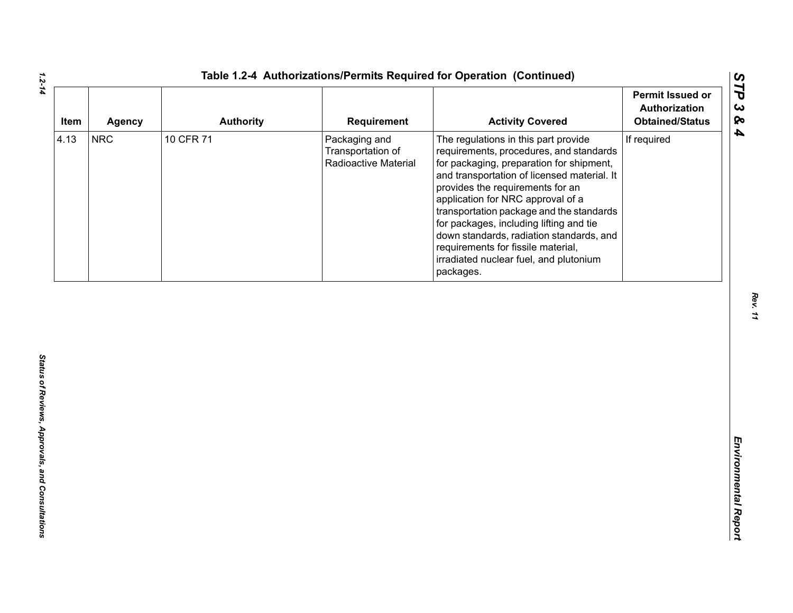| Item | <b>Agency</b> | <b>Authority</b> | Requirement                                                | <b>Activity Covered</b>                                                                                                                                                                                                                                                                                                                                                                                                                                                             | <b>Permit Issued or</b><br>Authorization<br><b>Obtained/Status</b> |
|------|---------------|------------------|------------------------------------------------------------|-------------------------------------------------------------------------------------------------------------------------------------------------------------------------------------------------------------------------------------------------------------------------------------------------------------------------------------------------------------------------------------------------------------------------------------------------------------------------------------|--------------------------------------------------------------------|
| 4.13 | <b>NRC</b>    | 10 CFR 71        | Packaging and<br>Transportation of<br>Radioactive Material | The regulations in this part provide<br>requirements, procedures, and standards<br>for packaging, preparation for shipment,<br>and transportation of licensed material. It<br>provides the requirements for an<br>application for NRC approval of a<br>transportation package and the standards<br>for packages, including lifting and tie<br>down standards, radiation standards, and<br>requirements for fissile material,<br>irradiated nuclear fuel, and plutonium<br>packages. | If required                                                        |
|      |               |                  |                                                            |                                                                                                                                                                                                                                                                                                                                                                                                                                                                                     |                                                                    |
|      |               |                  |                                                            |                                                                                                                                                                                                                                                                                                                                                                                                                                                                                     |                                                                    |